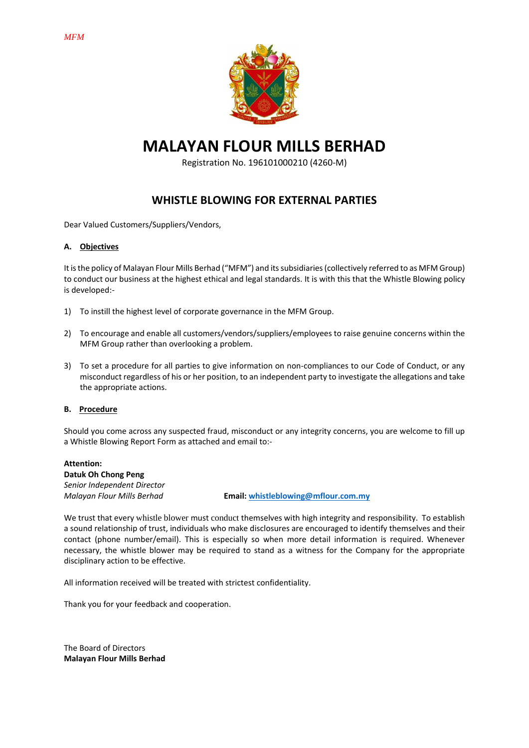

**MALAYAN FLOUR MILLS BERHAD**

Registration No. 196101000210 (4260-M)

# **WHISTLE BLOWING FOR EXTERNAL PARTIES**

Dear Valued Customers/Suppliers/Vendors,

### **A. Objectives**

It is the policy of Malayan Flour Mills Berhad ("MFM") and its subsidiaries (collectively referred to as MFM Group) to conduct our business at the highest ethical and legal standards. It is with this that the Whistle Blowing policy is developed:-

- 1) To instill the highest level of corporate governance in the MFM Group.
- 2) To encourage and enable all customers/vendors/suppliers/employees to raise genuine concerns within the MFM Group rather than overlooking a problem.
- 3) To set a procedure for all parties to give information on non-compliances to our Code of Conduct, or any misconduct regardless of his or her position, to an independent party to investigate the allegations and take the appropriate actions.

#### **B. Procedure**

Should you come across any suspected fraud, misconduct or any integrity concerns, you are welcome to fill up a Whistle Blowing Report Form as attached and email to:-

**Attention: Datuk Oh Chong Peng** *Senior Independent Director*

*Malayan Flour Mills Berhad* **Email: [whistleblowing@mflour.com.my](mailto:whistleblowing@mflour.com.my)**

We trust that every whistle blower must conduct themselves with high integrity and responsibility. To establish a sound relationship of trust, individuals who make disclosures are encouraged to identify themselves and their contact (phone number/email). This is especially so when more detail information is required. Whenever necessary, the whistle blower may be required to stand as a witness for the Company for the appropriate disciplinary action to be effective.

All information received will be treated with strictest confidentiality.

Thank you for your feedback and cooperation.

The Board of Directors **Malayan Flour Mills Berhad**